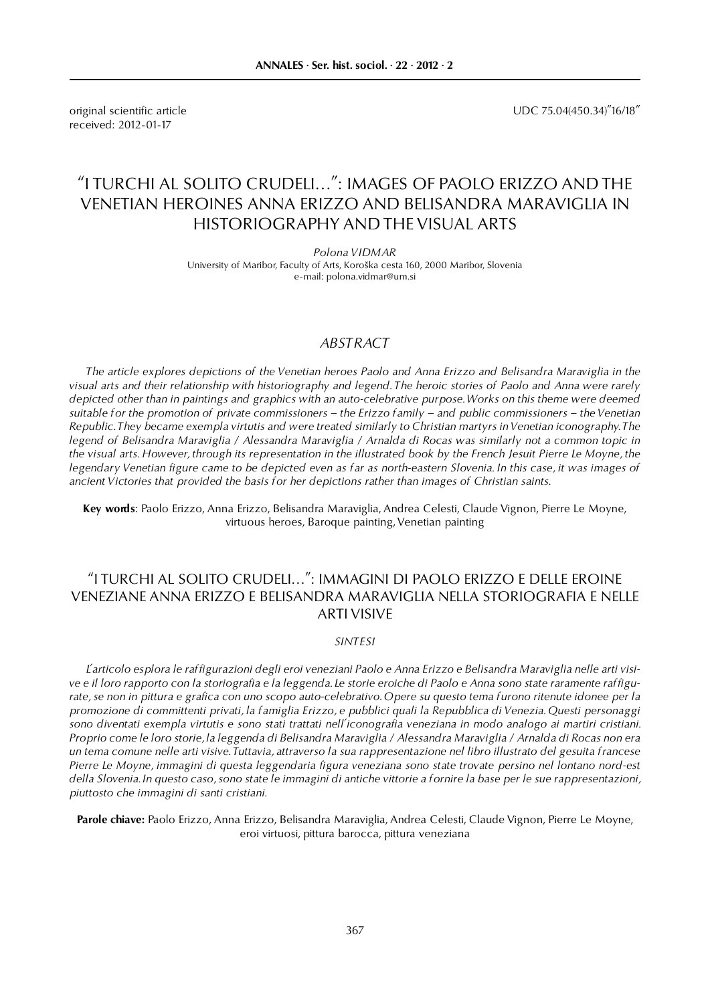received: 2012-01-17

original scientific article UDC 75.04(450.34)"16/18"

# "I TURCHI AL SOLITO CRUDELI…": IMAGES OF PAOLO ERIZZO AND THE VENETIAN HEROINES ANNA ERIZZO AND BELISANDRA MARAVIGLIA IN HISTORIOGRAPHY AND THE VISUAL ARTS

*Polona VIDMAR* University of Maribor, Faculty of Arts, Koroška cesta 160, 2000 Maribor, Slovenia e-mail: polona.vidmar@um.si

## *ABSTRACT*

*The article explores depictions of the Venetian heroes Paolo and Anna Erizzo and Belisandra Maraviglia in the visual arts and their relationship with historiography and legend. The heroic stories of Paolo and Anna were rarely depicted other than in paintings and graphics with an auto-celebrative purpose. Works on this theme were deemed suitable for the promotion of private commissioners – the Erizzo family – and public commissioners – the Venetian Republic. They became exempla virtutis and were treated similarly to Christian martyrs in Venetian iconography. The legend of Belisandra Maraviglia / Alessandra Maraviglia / Arnalda di Rocas was similarly not a common topic in the visual arts. However, through its representation in the illustrated book by the French Jesuit Pierre Le Moyne, the legendary Venetian figure came to be depicted even as far as north-eastern Slovenia. In this case, it was images of ancient Victories that provided the basis for her depictions rather than images of Christian saints.*

**Key words**: Paolo Erizzo, Anna Erizzo, Belisandra Maraviglia, Andrea Celesti, Claude Vignon, Pierre Le Moyne, virtuous heroes, Baroque painting, Venetian painting

## "I TURCHI AL SOLITO CRUDELI…": IMMAGINI DI PAOLO ERIZZO E DELLE EROINE VENEZIANE ANNA ERIZZO E BELISANDRA MARAVIGLIA NELLA STORIOGRAFIA E NELLE ARTI VISIVE

### *SINTESI*

*L'articolo esplora le raffigurazioni degli eroi veneziani Paolo e Anna Erizzo e Belisandra Maraviglia nelle arti visive e il loro rapporto con la storiografia e la leggenda. Le storie eroiche di Paolo e Anna sono state raramente raffigurate, se non in pittura e grafica con uno scopo auto-celebrativo. Opere su questo tema furono ritenute idonee per la promozione di committenti privati, la famiglia Erizzo, e pubblici quali la Repubblica di Venezia. Questi personaggi sono diventati exempla virtutis e sono stati trattati nell'iconografia veneziana in modo analogo ai martiri cristiani. Proprio come le loro storie, la leggenda di Belisandra Maraviglia / Alessandra Maraviglia / Arnalda di Rocas non era un tema comune nelle arti visive. Tuttavia, attraverso la sua rappresentazione nel libro illustrato del gesuita francese Pierre Le Moyne, immagini di questa leggendaria figura veneziana sono state trovate persino nel lontano nord-est della Slovenia. In questo caso, sono state le immagini di antiche vittorie a fornire la base per le sue rappresentazioni, piuttosto che immagini di santi cristiani.*

**Parole chiave:** Paolo Erizzo, Anna Erizzo, Belisandra Maraviglia, Andrea Celesti, Claude Vignon, Pierre Le Moyne, eroi virtuosi, pittura barocca, pittura veneziana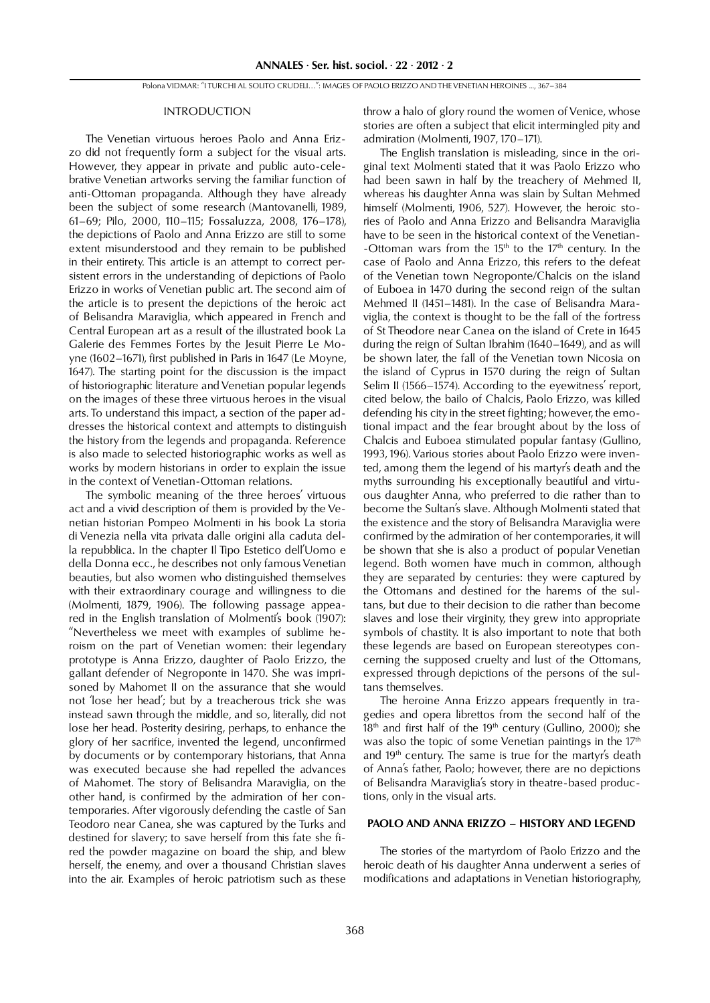#### INTRODUCTION

The Venetian virtuous heroes Paolo and Anna Erizzo did not frequently form a subject for the visual arts. However, they appear in private and public auto-celebrative Venetian artworks serving the familiar function of anti-Ottoman propaganda. Although they have already been the subject of some research (Mantovanelli, 1989, 61–69; Pilo, 2000, 110–115; Fossaluzza, 2008, 176–178), the depictions of Paolo and Anna Erizzo are still to some extent misunderstood and they remain to be published in their entirety. This article is an attempt to correct persistent errors in the understanding of depictions of Paolo Erizzo in works of Venetian public art. The second aim of the article is to present the depictions of the heroic act of Belisandra Maraviglia, which appeared in French and Central European art as a result of the illustrated book La Galerie des Femmes Fortes by the Jesuit Pierre Le Moyne (1602–1671), first published in Paris in 1647 (Le Moyne, 1647). The starting point for the discussion is the impact of historiographic literature and Venetian popular legends on the images of these three virtuous heroes in the visual arts. To understand this impact, a section of the paper addresses the historical context and attempts to distinguish the history from the legends and propaganda. Reference is also made to selected historiographic works as well as works by modern historians in order to explain the issue in the context of Venetian-Ottoman relations.

The symbolic meaning of the three heroes' virtuous act and a vivid description of them is provided by the Venetian historian Pompeo Molmenti in his book La storia di Venezia nella vita privata dalle origini alla caduta della repubblica. In the chapter Il Tipo Estetico dell'Uomo e della Donna ecc., he describes not only famous Venetian beauties, but also women who distinguished themselves with their extraordinary courage and willingness to die (Molmenti, 1879, 1906). The following passage appeared in the English translation of Molmenti's book (1907): "Nevertheless we meet with examples of sublime heroism on the part of Venetian women: their legendary prototype is Anna Erizzo, daughter of Paolo Erizzo, the gallant defender of Negroponte in 1470. She was imprisoned by Mahomet II on the assurance that she would not 'lose her head'; but by a treacherous trick she was instead sawn through the middle, and so, literally, did not lose her head. Posterity desiring, perhaps, to enhance the glory of her sacrifice, invented the legend, unconfirmed by documents or by contemporary historians, that Anna was executed because she had repelled the advances of Mahomet. The story of Belisandra Maraviglia, on the other hand, is confirmed by the admiration of her contemporaries. After vigorously defending the castle of San Teodoro near Canea, she was captured by the Turks and destined for slavery; to save herself from this fate she fired the powder magazine on board the ship, and blew herself, the enemy, and over a thousand Christian slaves into the air. Examples of heroic patriotism such as these throw a halo of glory round the women of Venice, whose stories are often a subject that elicit intermingled pity and admiration (Molmenti, 1907, 170–171).

The English translation is misleading, since in the original text Molmenti stated that it was Paolo Erizzo who had been sawn in half by the treachery of Mehmed II, whereas his daughter Anna was slain by Sultan Mehmed himself (Molmenti, 1906, 527). However, the heroic stories of Paolo and Anna Erizzo and Belisandra Maraviglia have to be seen in the historical context of the Venetian- -Ottoman wars from the 15<sup>th</sup> to the 17<sup>th</sup> century. In the case of Paolo and Anna Erizzo, this refers to the defeat of the Venetian town Negroponte/Chalcis on the island of Euboea in 1470 during the second reign of the sultan Mehmed II (1451–1481). In the case of Belisandra Maraviglia, the context is thought to be the fall of the fortress of St Theodore near Canea on the island of Crete in 1645 during the reign of Sultan Ibrahim (1640–1649), and as will be shown later, the fall of the Venetian town Nicosia on the island of Cyprus in 1570 during the reign of Sultan Selim II (1566–1574). According to the eyewitness' report, cited below, the bailo of Chalcis, Paolo Erizzo, was killed defending his city in the street fighting; however, the emotional impact and the fear brought about by the loss of Chalcis and Euboea stimulated popular fantasy (Gullino, 1993, 196). Various stories about Paolo Erizzo were invented, among them the legend of his martyr's death and the myths surrounding his exceptionally beautiful and virtuous daughter Anna, who preferred to die rather than to become the Sultan's slave. Although Molmenti stated that the existence and the story of Belisandra Maraviglia were confirmed by the admiration of her contemporaries, it will be shown that she is also a product of popular Venetian legend. Both women have much in common, although they are separated by centuries: they were captured by the Ottomans and destined for the harems of the sultans, but due to their decision to die rather than become slaves and lose their virginity, they grew into appropriate symbols of chastity. It is also important to note that both these legends are based on European stereotypes concerning the supposed cruelty and lust of the Ottomans, expressed through depictions of the persons of the sultans themselves.

The heroine Anna Erizzo appears frequently in tragedies and opera librettos from the second half of the  $18<sup>th</sup>$  and first half of the 19<sup>th</sup> century (Gullino, 2000); she was also the topic of some Venetian paintings in the 17<sup>th</sup> and 19<sup>th</sup> century. The same is true for the martyr's death of Anna's father, Paolo; however, there are no depictions of Belisandra Maraviglia's story in theatre-based productions, only in the visual arts.

## **PAOLO AND ANNA ERIZZO – HISTORY AND LEGEND**

The stories of the martyrdom of Paolo Erizzo and the heroic death of his daughter Anna underwent a series of modifications and adaptations in Venetian historiography,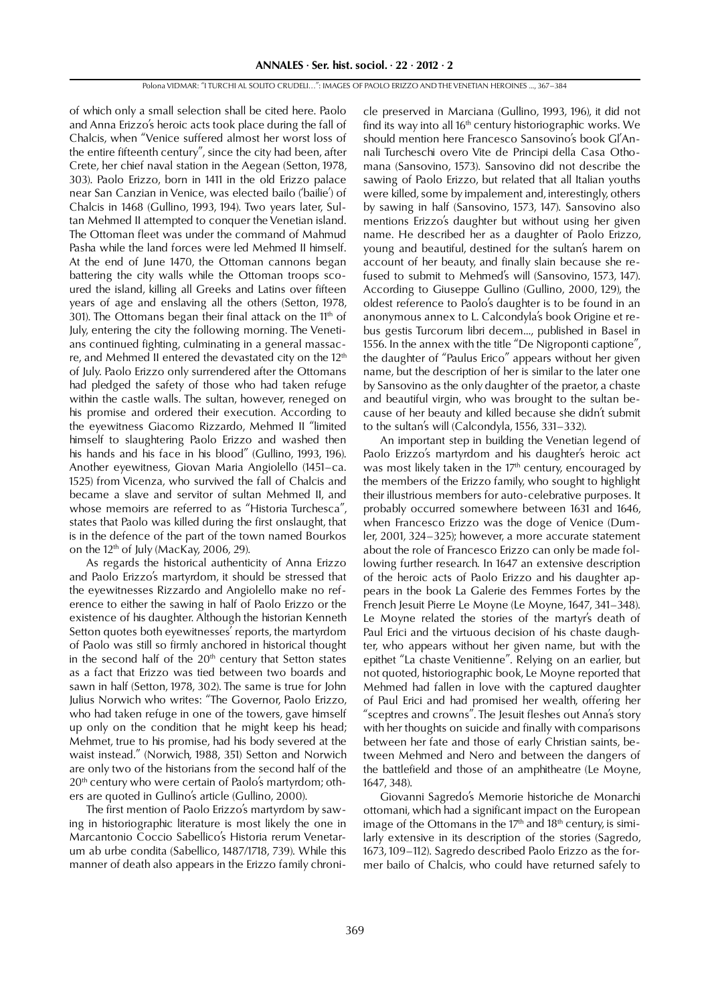of which only a small selection shall be cited here. Paolo and Anna Erizzo's heroic acts took place during the fall of Chalcis, when "Venice suffered almost her worst loss of the entire fifteenth century", since the city had been, after Crete, her chief naval station in the Aegean (Setton, 1978, 303). Paolo Erizzo, born in 1411 in the old Erizzo palace near San Canzian in Venice, was elected bailo ('bailie') of Chalcis in 1468 (Gullino, 1993, 194). Two years later, Sultan Mehmed II attempted to conquer the Venetian island. The Ottoman fleet was under the command of Mahmud Pasha while the land forces were led Mehmed II himself. At the end of June 1470, the Ottoman cannons began battering the city walls while the Ottoman troops scoured the island, killing all Greeks and Latins over fifteen years of age and enslaving all the others (Setton, 1978, 301). The Ottomans began their final attack on the  $11<sup>th</sup>$  of July, entering the city the following morning. The Venetians continued fighting, culminating in a general massacre, and Mehmed II entered the devastated city on the 12th of July. Paolo Erizzo only surrendered after the Ottomans had pledged the safety of those who had taken refuge within the castle walls. The sultan, however, reneged on his promise and ordered their execution. According to the eyewitness Giacomo Rizzardo, Mehmed II "limited himself to slaughtering Paolo Erizzo and washed then his hands and his face in his blood" (Gullino, 1993, 196). Another eyewitness, Giovan Maria Angiolello (1451–ca. 1525) from Vicenza, who survived the fall of Chalcis and became a slave and servitor of sultan Mehmed II, and whose memoirs are referred to as "Historia Turchesca", states that Paolo was killed during the first onslaught, that is in the defence of the part of the town named Bourkos on the 12<sup>th</sup> of July (MacKay, 2006, 29).

As regards the historical authenticity of Anna Erizzo and Paolo Erizzo's martyrdom, it should be stressed that the eyewitnesses Rizzardo and Angiolello make no reference to either the sawing in half of Paolo Erizzo or the existence of his daughter. Although the historian Kenneth Setton quotes both eyewitnesses' reports, the martyrdom of Paolo was still so firmly anchored in historical thought in the second half of the  $20<sup>th</sup>$  century that Setton states as a fact that Erizzo was tied between two boards and sawn in half (Setton, 1978, 302). The same is true for John Julius Norwich who writes: "The Governor, Paolo Erizzo, who had taken refuge in one of the towers, gave himself up only on the condition that he might keep his head; Mehmet, true to his promise, had his body severed at the waist instead." (Norwich, 1988, 351) Setton and Norwich are only two of the historians from the second half of the 20<sup>th</sup> century who were certain of Paolo's martyrdom; others are quoted in Gullino's article (Gullino, 2000).

The first mention of Paolo Erizzo's martyrdom by sawing in historiographic literature is most likely the one in Marcantonio Coccio Sabellico's Historia rerum Venetarum ab urbe condita (Sabellico, 1487/1718, 739). While this manner of death also appears in the Erizzo family chroni-

cle preserved in Marciana (Gullino, 1993, 196), it did not find its way into all 16<sup>th</sup> century historiographic works. We should mention here Francesco Sansovino's book Gl'Annali Turcheschi overo Vite de Principi della Casa Othomana (Sansovino, 1573). Sansovino did not describe the sawing of Paolo Erizzo, but related that all Italian youths were killed, some by impalement and, interestingly, others by sawing in half (Sansovino, 1573, 147). Sansovino also mentions Erizzo's daughter but without using her given name. He described her as a daughter of Paolo Erizzo, young and beautiful, destined for the sultan's harem on account of her beauty, and finally slain because she refused to submit to Mehmed's will (Sansovino, 1573, 147). According to Giuseppe Gullino (Gullino, 2000, 129), the oldest reference to Paolo's daughter is to be found in an anonymous annex to L. Calcondyla's book Origine et rebus gestis Turcorum libri decem..., published in Basel in 1556. In the annex with the title "De Nigroponti captione", the daughter of "Paulus Erico" appears without her given name, but the description of her is similar to the later one by Sansovino as the only daughter of the praetor, a chaste and beautiful virgin, who was brought to the sultan because of her beauty and killed because she didn't submit to the sultan's will (Calcondyla, 1556, 331–332).

An important step in building the Venetian legend of Paolo Erizzo's martyrdom and his daughter's heroic act was most likely taken in the 17<sup>th</sup> century, encouraged by the members of the Erizzo family, who sought to highlight their illustrious members for auto-celebrative purposes. It probably occurred somewhere between 1631 and 1646, when Francesco Erizzo was the doge of Venice (Dumler, 2001, 324–325); however, a more accurate statement about the role of Francesco Erizzo can only be made following further research. In 1647 an extensive description of the heroic acts of Paolo Erizzo and his daughter appears in the book La Galerie des Femmes Fortes by the French Jesuit Pierre Le Moyne (Le Moyne, 1647, 341–348). Le Moyne related the stories of the martyr's death of Paul Erici and the virtuous decision of his chaste daughter, who appears without her given name, but with the epithet "La chaste Venitienne". Relying on an earlier, but not quoted, historiographic book, Le Moyne reported that Mehmed had fallen in love with the captured daughter of Paul Erici and had promised her wealth, offering her "sceptres and crowns". The Jesuit fleshes out Anna's story with her thoughts on suicide and finally with comparisons between her fate and those of early Christian saints, between Mehmed and Nero and between the dangers of the battlefield and those of an amphitheatre (Le Moyne, 1647, 348).

Giovanni Sagredo's Memorie historiche de Monarchi ottomani, which had a significant impact on the European image of the Ottomans in the  $17<sup>th</sup>$  and  $18<sup>th</sup>$  century, is similarly extensive in its description of the stories (Sagredo, 1673, 109–112). Sagredo described Paolo Erizzo as the former bailo of Chalcis, who could have returned safely to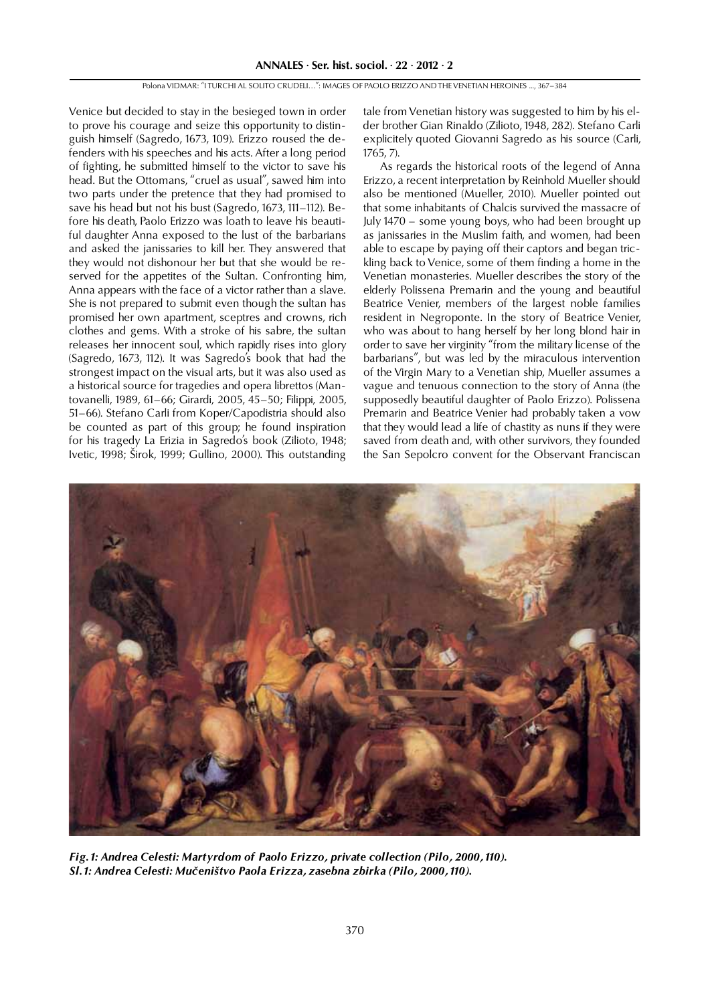Venice but decided to stay in the besieged town in order to prove his courage and seize this opportunity to distinguish himself (Sagredo, 1673, 109). Erizzo roused the defenders with his speeches and his acts. After a long period of fighting, he submitted himself to the victor to save his head. But the Ottomans, "cruel as usual", sawed him into two parts under the pretence that they had promised to save his head but not his bust (Sagredo, 1673, 111–112). Before his death, Paolo Erizzo was loath to leave his beautiful daughter Anna exposed to the lust of the barbarians and asked the janissaries to kill her. They answered that they would not dishonour her but that she would be reserved for the appetites of the Sultan. Confronting him, Anna appears with the face of a victor rather than a slave. She is not prepared to submit even though the sultan has promised her own apartment, sceptres and crowns, rich clothes and gems. With a stroke of his sabre, the sultan releases her innocent soul, which rapidly rises into glory (Sagredo, 1673, 112). It was Sagredo's book that had the strongest impact on the visual arts, but it was also used as a historical source for tragedies and opera librettos (Mantovanelli, 1989, 61–66; Girardi, 2005, 45–50; Filippi, 2005, 51–66). Stefano Carli from Koper/Capodistria should also be counted as part of this group; he found inspiration for his tragedy La Erizia in Sagredo's book (Zilioto, 1948; Ivetic, 1998; Širok, 1999; Gullino, 2000). This outstanding

tale from Venetian history was suggested to him by his elder brother Gian Rinaldo (Zilioto, 1948, 282). Stefano Carli explicitely quoted Giovanni Sagredo as his source (Carli, 1765, 7).

As regards the historical roots of the legend of Anna Erizzo, a recent interpretation by Reinhold Mueller should also be mentioned (Mueller, 2010). Mueller pointed out that some inhabitants of Chalcis survived the massacre of July 1470 – some young boys, who had been brought up as janissaries in the Muslim faith, and women, had been able to escape by paying off their captors and began trickling back to Venice, some of them finding a home in the Venetian monasteries. Mueller describes the story of the elderly Polissena Premarin and the young and beautiful Beatrice Venier, members of the largest noble families resident in Negroponte. In the story of Beatrice Venier, who was about to hang herself by her long blond hair in order to save her virginity "from the military license of the barbarians", but was led by the miraculous intervention of the Virgin Mary to a Venetian ship, Mueller assumes a vague and tenuous connection to the story of Anna (the supposedly beautiful daughter of Paolo Erizzo). Polissena Premarin and Beatrice Venier had probably taken a vow that they would lead a life of chastity as nuns if they were saved from death and, with other survivors, they founded the San Sepolcro convent for the Observant Franciscan



*Fig. 1: Andrea Celesti: Martyrdom of Paolo Erizzo, private collection (Pilo, 2000, 110). Sl. 1: Andrea Celesti: Mučeništvo Paola Erizza, zasebna zbirka (Pilo, 2000, 110).*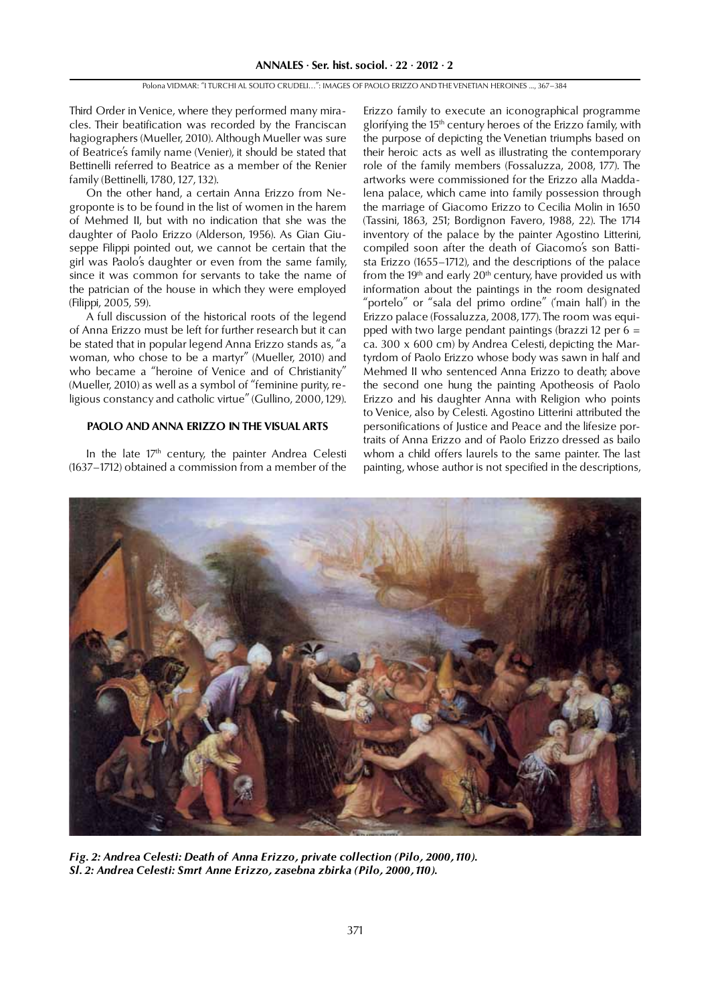Third Order in Venice, where they performed many miracles. Their beatification was recorded by the Franciscan hagiographers (Mueller, 2010). Although Mueller was sure of Beatrice's family name (Venier), it should be stated that Bettinelli referred to Beatrice as a member of the Renier family (Bettinelli, 1780, 127, 132).

On the other hand, a certain Anna Erizzo from Negroponte is to be found in the list of women in the harem of Mehmed II, but with no indication that she was the daughter of Paolo Erizzo (Alderson, 1956). As Gian Giuseppe Filippi pointed out, we cannot be certain that the girl was Paolo's daughter or even from the same family, since it was common for servants to take the name of the patrician of the house in which they were employed (Filippi, 2005, 59).

A full discussion of the historical roots of the legend of Anna Erizzo must be left for further research but it can be stated that in popular legend Anna Erizzo stands as, "a woman, who chose to be a martyr" (Mueller, 2010) and who became a "heroine of Venice and of Christianity" (Mueller, 2010) as well as a symbol of "feminine purity, religious constancy and catholic virtue" (Gullino, 2000, 129).

## **PAOLO AND ANNA ERIZZO IN THE VISUAL ARTS**

In the late 17<sup>th</sup> century, the painter Andrea Celesti (1637–1712) obtained a commission from a member of the

Erizzo family to execute an iconographical programme glorifying the 15<sup>th</sup> century heroes of the Erizzo family, with the purpose of depicting the Venetian triumphs based on their heroic acts as well as illustrating the contemporary role of the family members (Fossaluzza, 2008, 177). The artworks were commissioned for the Erizzo alla Maddalena palace, which came into family possession through the marriage of Giacomo Erizzo to Cecilia Molin in 1650 (Tassini, 1863, 251; Bordignon Favero, 1988, 22). The 1714 inventory of the palace by the painter Agostino Litterini, compiled soon after the death of Giacomo's son Battista Erizzo (1655–1712), and the descriptions of the palace from the 19<sup>th</sup> and early  $20<sup>th</sup>$  century, have provided us with information about the paintings in the room designated "portelo" or "sala del primo ordine" ('main hall') in the Erizzo palace (Fossaluzza, 2008, 177). The room was equipped with two large pendant paintings (brazzi 12 per  $6 =$ ca. 300 x 600 cm) by Andrea Celesti, depicting the Martyrdom of Paolo Erizzo whose body was sawn in half and Mehmed II who sentenced Anna Erizzo to death; above the second one hung the painting Apotheosis of Paolo Erizzo and his daughter Anna with Religion who points to Venice, also by Celesti. Agostino Litterini attributed the personifications of Justice and Peace and the lifesize portraits of Anna Erizzo and of Paolo Erizzo dressed as bailo whom a child offers laurels to the same painter. The last painting, whose author is not specified in the descriptions,



*Fig. 2: Andrea Celesti: Death of Anna Erizzo, private collection (Pilo, 2000, 110). Sl. 2: Andrea Celesti: Smrt Anne Erizzo, zasebna zbirka (Pilo, 2000, 110).*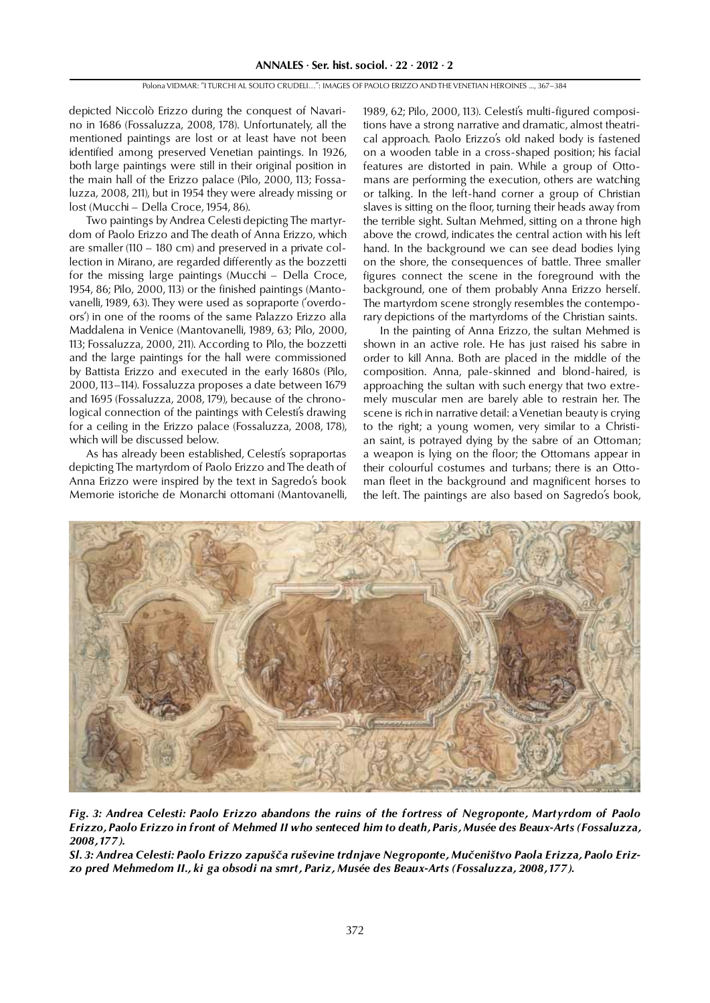depicted Niccolò Erizzo during the conquest of Navarino in 1686 (Fossaluzza, 2008, 178). Unfortunately, all the mentioned paintings are lost or at least have not been identified among preserved Venetian paintings. In 1926, both large paintings were still in their original position in the main hall of the Erizzo palace (Pilo, 2000, 113; Fossaluzza, 2008, 211), but in 1954 they were already missing or lost (Mucchi – Della Croce, 1954, 86).

Two paintings by Andrea Celesti depicting The martyrdom of Paolo Erizzo and The death of Anna Erizzo, which are smaller (110 – 180 cm) and preserved in a private collection in Mirano, are regarded differently as the bozzetti for the missing large paintings (Mucchi – Della Croce, 1954, 86; Pilo, 2000, 113) or the finished paintings (Mantovanelli, 1989, 63). They were used as sopraporte ('overdoors') in one of the rooms of the same Palazzo Erizzo alla Maddalena in Venice (Mantovanelli, 1989, 63; Pilo, 2000, 113; Fossaluzza, 2000, 211). According to Pilo, the bozzetti and the large paintings for the hall were commissioned by Battista Erizzo and executed in the early 1680s (Pilo, 2000, 113–114). Fossaluzza proposes a date between 1679 and 1695 (Fossaluzza, 2008, 179), because of the chronological connection of the paintings with Celesti's drawing for a ceiling in the Erizzo palace (Fossaluzza, 2008, 178), which will be discussed below.

As has already been established, Celesti's sopraportas depicting The martyrdom of Paolo Erizzo and The death of Anna Erizzo were inspired by the text in Sagredo's book Memorie istoriche de Monarchi ottomani (Mantovanelli, 1989, 62; Pilo, 2000, 113). Celesti's multi-figured compositions have a strong narrative and dramatic, almost theatrical approach. Paolo Erizzo's old naked body is fastened on a wooden table in a cross-shaped position; his facial features are distorted in pain. While a group of Ottomans are performing the execution, others are watching or talking. In the left-hand corner a group of Christian slaves is sitting on the floor, turning their heads away from the terrible sight. Sultan Mehmed, sitting on a throne high above the crowd, indicates the central action with his left hand. In the background we can see dead bodies lying on the shore, the consequences of battle. Three smaller figures connect the scene in the foreground with the background, one of them probably Anna Erizzo herself. The martyrdom scene strongly resembles the contemporary depictions of the martyrdoms of the Christian saints.

In the painting of Anna Erizzo, the sultan Mehmed is shown in an active role. He has just raised his sabre in order to kill Anna. Both are placed in the middle of the composition. Anna, pale-skinned and blond-haired, is approaching the sultan with such energy that two extremely muscular men are barely able to restrain her. The scene is rich in narrative detail: a Venetian beauty is crying to the right; a young women, very similar to a Christian saint, is potrayed dying by the sabre of an Ottoman; a weapon is lying on the floor; the Ottomans appear in their colourful costumes and turbans; there is an Ottoman fleet in the background and magnificent horses to the left. The paintings are also based on Sagredo's book,



*Fig. 3: Andrea Celesti: Paolo Erizzo abandons the ruins of the fortress of Negroponte, Martyrdom of Paolo Erizzo, Paolo Erizzo in front of Mehmed II who senteced him to death, Paris, Musée des Beaux-Arts (Fossaluzza, 2008, 177).*

*Sl. 3: Andrea Celesti: Paolo Erizzo zapušča ruševine trdnjave Negroponte, Mučeništvo Paola Erizza, Paolo Erizzo pred Mehmedom II., ki ga obsodi na smrt, Pariz, Musée des Beaux-Arts (Fossaluzza, 2008, 177).*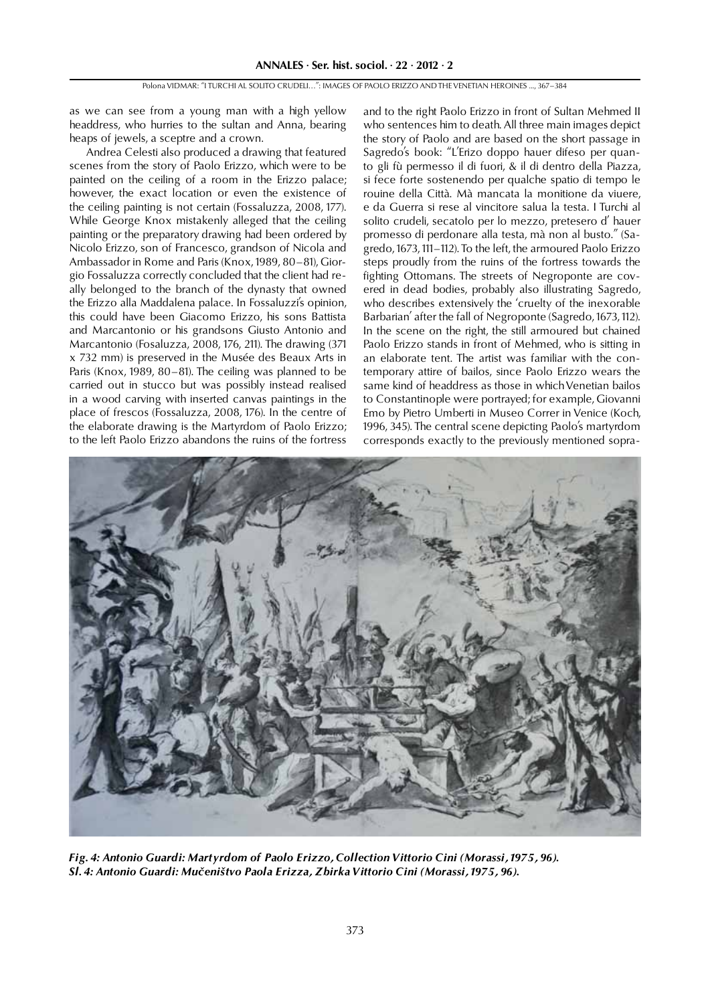as we can see from a young man with a high yellow headdress, who hurries to the sultan and Anna, bearing heaps of jewels, a sceptre and a crown.

Andrea Celesti also produced a drawing that featured scenes from the story of Paolo Erizzo, which were to be painted on the ceiling of a room in the Erizzo palace; however, the exact location or even the existence of the ceiling painting is not certain (Fossaluzza, 2008, 177). While George Knox mistakenly alleged that the ceiling painting or the preparatory drawing had been ordered by Nicolo Erizzo, son of Francesco, grandson of Nicola and Ambassador in Rome and Paris (Knox, 1989, 80–81), Giorgio Fossaluzza correctly concluded that the client had really belonged to the branch of the dynasty that owned the Erizzo alla Maddalena palace. In Fossaluzzi's opinion, this could have been Giacomo Erizzo, his sons Battista and Marcantonio or his grandsons Giusto Antonio and Marcantonio (Fosaluzza, 2008, 176, 211). The drawing (371 x 732 mm) is preserved in the Musée des Beaux Arts in Paris (Knox, 1989, 80–81). The ceiling was planned to be carried out in stucco but was possibly instead realised in a wood carving with inserted canvas paintings in the place of frescos (Fossaluzza, 2008, 176). In the centre of the elaborate drawing is the Martyrdom of Paolo Erizzo; to the left Paolo Erizzo abandons the ruins of the fortress

and to the right Paolo Erizzo in front of Sultan Mehmed II who sentences him to death. All three main images depict the story of Paolo and are based on the short passage in Sagredo's book: "L'Erizo doppo hauer difeso per quanto gli fù permesso il di fuori, & il di dentro della Piazza, si fece forte sostenendo per qualche spatio di tempo le rouine della Città. Mà mancata la monitione da viuere, e da Guerra si rese al vincitore salua la testa. I Turchi al solito crudeli, secatolo per lo mezzo, pretesero d' hauer promesso di perdonare alla testa, mà non al busto." (Sagredo, 1673, 111–112). To the left, the armoured Paolo Erizzo steps proudly from the ruins of the fortress towards the fighting Ottomans. The streets of Negroponte are covered in dead bodies, probably also illustrating Sagredo, who describes extensively the 'cruelty of the inexorable Barbarian' after the fall of Negroponte (Sagredo, 1673, 112). In the scene on the right, the still armoured but chained Paolo Erizzo stands in front of Mehmed, who is sitting in an elaborate tent. The artist was familiar with the contemporary attire of bailos, since Paolo Erizzo wears the same kind of headdress as those in which Venetian bailos to Constantinople were portrayed; for example, Giovanni Emo by Pietro Umberti in Museo Correr in Venice (Koch, 1996, 345). The central scene depicting Paolo's martyrdom corresponds exactly to the previously mentioned sopra-



*Fig. 4: Antonio Guardi: Martyrdom of Paolo Erizzo, Collection Vittorio Cini (Morassi, 1975, 96). Sl. 4: Antonio Guardi: Mučeništvo Paola Erizza, Zbirka Vittorio Cini (Morassi, 1975, 96).*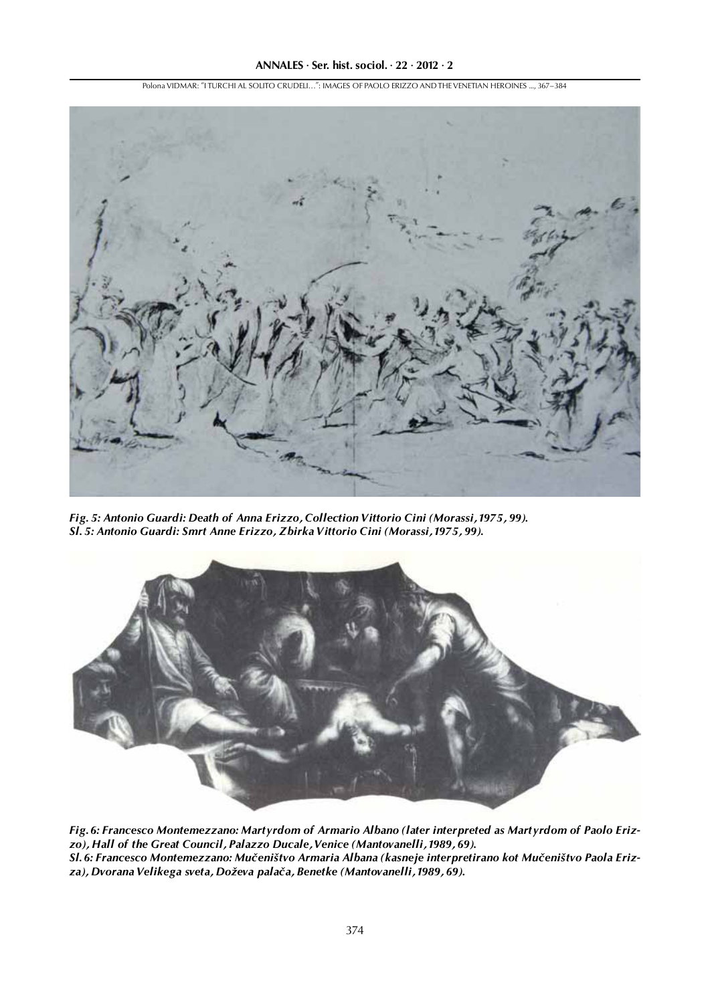Polona VIDMAR: "I TURCHI AL SOLITO CRUDELI…": IMAGES OF PAOLO ERIZZO AND THE VENETIAN HEROINES ..., 367–384



*Fig. 5: Antonio Guardi: Death of Anna Erizzo, Collection Vittorio Cini (Morassi, 1975, 99). Sl. 5: Antonio Guardi: Smrt Anne Erizzo, Zbirka Vittorio Cini (Morassi, 1975, 99).*



*Fig. 6: Francesco Montemezzano: Martyrdom of Armario Albano (later interpreted as Martyrdom of Paolo Erizzo), Hall of the Great Council, Palazzo Ducale, Venice (Mantovanelli, 1989, 69). Sl. 6: Francesco Montemezzano: Mučeništvo Armaria Albana (kasneje interpretirano kot Mučeništvo Paola Erizza), Dvorana Velikega sveta, Doževa palača, Benetke (Mantovanelli, 1989, 69).*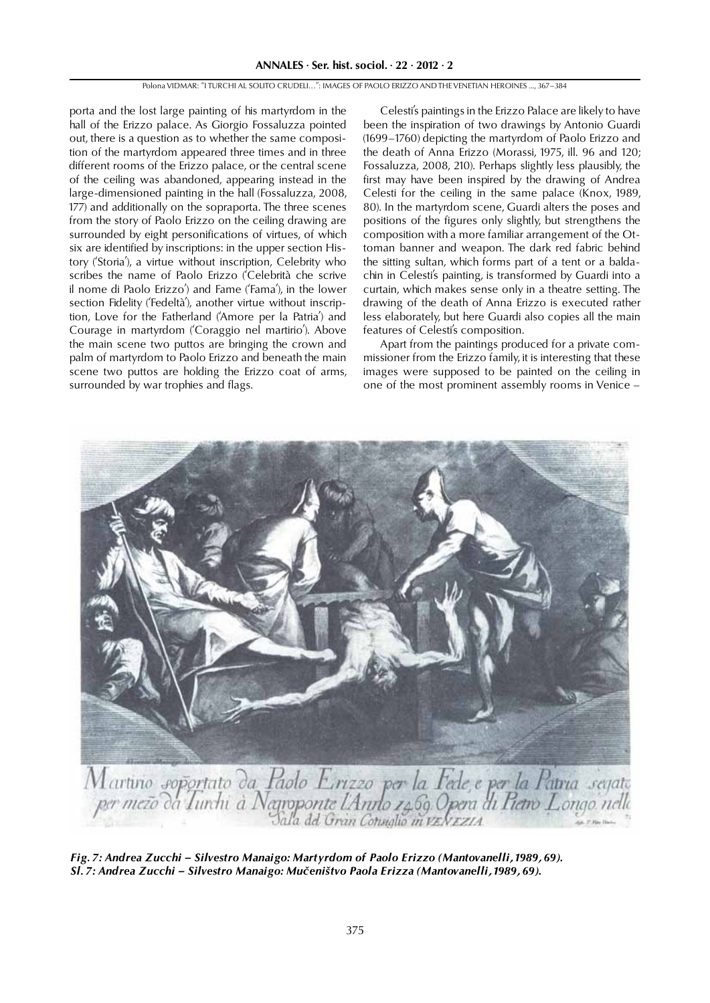porta and the lost large painting of his martyrdom in the hall of the Erizzo palace. As Giorgio Fossaluzza pointed out, there is a question as to whether the same composition of the martyrdom appeared three times and in three different rooms of the Erizzo palace, or the central scene of the ceiling was abandoned, appearing instead in the large-dimensioned painting in the hall (Fossaluzza, 2008, 177) and additionally on the sopraporta. The three scenes from the story of Paolo Erizzo on the ceiling drawing are surrounded by eight personifications of virtues, of which six are identified by inscriptions: in the upper section History ('Storia'), a virtue without inscription, Celebrity who scribes the name of Paolo Erizzo ('Celebrità che scrive il nome di Paolo Erizzo') and Fame ('Fama'), in the lower section Fidelity ('Fedeltà'), another virtue without inscription, Love for the Fatherland ('Amore per la Patria') and Courage in martyrdom ('Coraggio nel martirio'). Above the main scene two puttos are bringing the crown and palm of martyrdom to Paolo Erizzo and beneath the main scene two puttos are holding the Erizzo coat of arms, surrounded by war trophies and flags.

Celesti's paintings in the Erizzo Palace are likely to have been the inspiration of two drawings by Antonio Guardi (1699–1760) depicting the martyrdom of Paolo Erizzo and the death of Anna Erizzo (Morassi, 1975, ill. 96 and 120; Fossaluzza, 2008, 210). Perhaps slightly less plausibly, the first may have been inspired by the drawing of Andrea Celesti for the ceiling in the same palace (Knox, 1989, 80). In the martyrdom scene, Guardi alters the poses and positions of the figures only slightly, but strengthens the composition with a more familiar arrangement of the Ottoman banner and weapon. The dark red fabric behind the sitting sultan, which forms part of a tent or a baldachin in Celesti's painting, is transformed by Guardi into a curtain, which makes sense only in a theatre setting. The drawing of the death of Anna Erizzo is executed rather less elaborately, but here Guardi also copies all the main features of Celesti's composition.

Apart from the paintings produced for a private commissioner from the Erizzo family, it is interesting that these images were supposed to be painted on the ceiling in one of the most prominent assembly rooms in Venice –



*Fig. 7: Andrea Zucchi – Silvestro Manaigo: Martyrdom of Paolo Erizzo (Mantovanelli, 1989, 69). Sl. 7: Andrea Zucchi – Silvestro Manaigo: Mučeništvo Paola Erizza (Mantovanelli, 1989, 69).*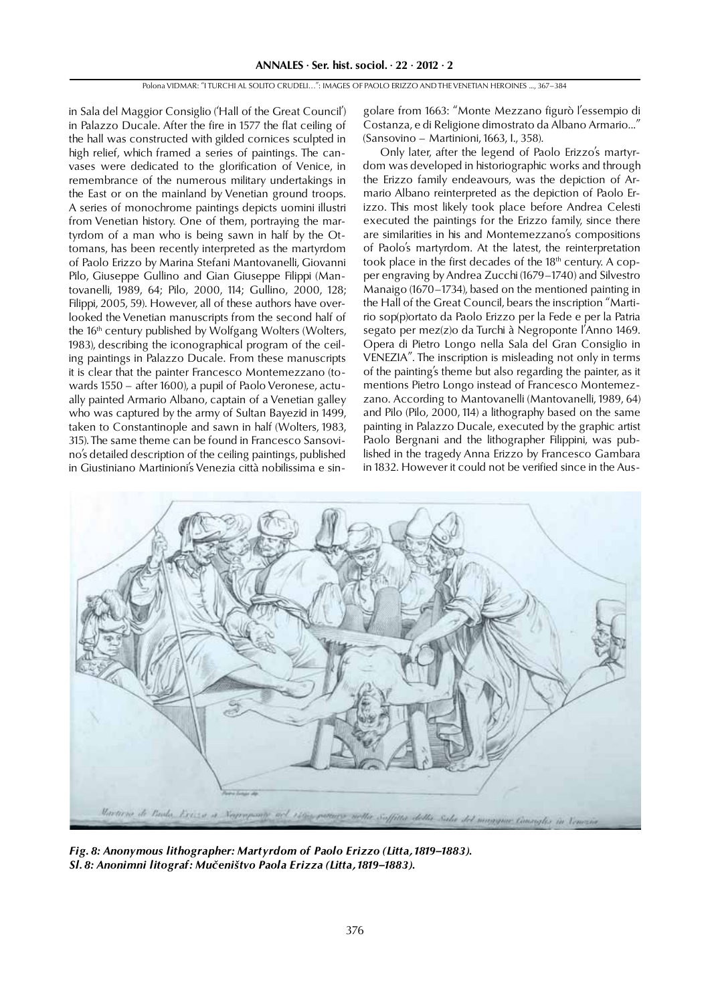in Sala del Maggior Consiglio ('Hall of the Great Council') in Palazzo Ducale. After the fire in 1577 the flat ceiling of the hall was constructed with gilded cornices sculpted in high relief, which framed a series of paintings. The canvases were dedicated to the glorification of Venice, in remembrance of the numerous military undertakings in the East or on the mainland by Venetian ground troops. A series of monochrome paintings depicts uomini illustri from Venetian history. One of them, portraying the martyrdom of a man who is being sawn in half by the Ottomans, has been recently interpreted as the martyrdom of Paolo Erizzo by Marina Stefani Mantovanelli, Giovanni Pilo, Giuseppe Gullino and Gian Giuseppe Filippi (Mantovanelli, 1989, 64; Pilo, 2000, 114; Gullino, 2000, 128; Filippi, 2005, 59). However, all of these authors have overlooked the Venetian manuscripts from the second half of the 16<sup>th</sup> century published by Wolfgang Wolters (Wolters, 1983), describing the iconographical program of the ceiling paintings in Palazzo Ducale. From these manuscripts it is clear that the painter Francesco Montemezzano (towards 1550 – after 1600), a pupil of Paolo Veronese, actually painted Armario Albano, captain of a Venetian galley who was captured by the army of Sultan Bayezid in 1499, taken to Constantinople and sawn in half (Wolters, 1983, 315). The same theme can be found in Francesco Sansovino's detailed description of the ceiling paintings, published in Giustiniano Martinioni's Venezia città nobilissima e singolare from 1663: "Monte Mezzano figurò l'essempio di Costanza, e di Religione dimostrato da Albano Armario..." (Sansovino – Martinioni, 1663, I., 358).

Only later, after the legend of Paolo Erizzo's martyrdom was developed in historiographic works and through the Erizzo family endeavours, was the depiction of Armario Albano reinterpreted as the depiction of Paolo Erizzo. This most likely took place before Andrea Celesti executed the paintings for the Erizzo family, since there are similarities in his and Montemezzano's compositions of Paolo's martyrdom. At the latest, the reinterpretation took place in the first decades of the 18<sup>th</sup> century. A copper engraving by Andrea Zucchi (1679–1740) and Silvestro Manaigo (1670–1734), based on the mentioned painting in the Hall of the Great Council, bears the inscription "Martirio sop(p)ortato da Paolo Erizzo per la Fede e per la Patria segato per mez(z)o da Turchi à Negroponte l'Anno 1469. Opera di Pietro Longo nella Sala del Gran Consiglio in VENEZIA". The inscription is misleading not only in terms of the painting's theme but also regarding the painter, as it mentions Pietro Longo instead of Francesco Montemezzano. According to Mantovanelli (Mantovanelli, 1989, 64) and Pilo (Pilo,  $2000$ , 114) a lithography based on the same painting in Palazzo Ducale, executed by the graphic artist Paolo Bergnani and the lithographer Filippini, was published in the tragedy Anna Erizzo by Francesco Gambara in 1832. However it could not be verified since in the Aus-



*Fig. 8: Anonymous lithographer: Martyrdom of Paolo Erizzo (Litta, 1819–1883). Sl. 8: Anonimni litograf: Mučeništvo Paola Erizza (Litta, 1819–1883).*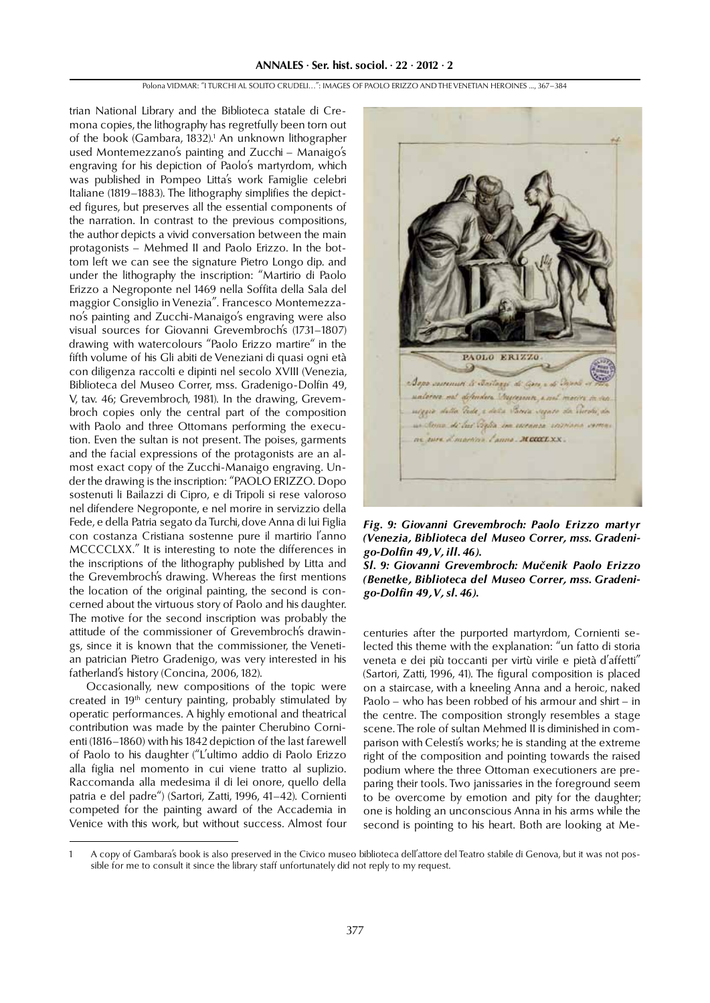trian National Library and the Biblioteca statale di Cremona copies, the lithography has regretfully been torn out of the book (Gambara, 1832).<sup>1</sup> An unknown lithographer used Montemezzano's painting and Zucchi – Manaigo's engraving for his depiction of Paolo's martyrdom, which was published in Pompeo Litta's work Famiglie celebri Italiane (1819–1883). The lithography simplifies the depicted figures, but preserves all the essential components of the narration. In contrast to the previous compositions, the author depicts a vivid conversation between the main protagonists – Mehmed II and Paolo Erizzo. In the bottom left we can see the signature Pietro Longo dip. and under the lithography the inscription: "Martirio di Paolo Erizzo a Negroponte nel 1469 nella Soffita della Sala del maggior Consiglio in Venezia". Francesco Montemezzano's painting and Zucchi-Manaigo's engraving were also visual sources for Giovanni Grevembroch's (1731–1807) drawing with watercolours "Paolo Erizzo martire" in the fifth volume of his Gli abiti de Veneziani di quasi ogni età con diligenza raccolti e dipinti nel secolo XVIII (Venezia, Biblioteca del Museo Correr, mss. Gradenigo-Dolfin 49, V, tav. 46; Grevembroch, 1981). In the drawing, Grevembroch copies only the central part of the composition with Paolo and three Ottomans performing the execution. Even the sultan is not present. The poises, garments and the facial expressions of the protagonists are an almost exact copy of the Zucchi-Manaigo engraving. Under the drawing is the inscription: "PAOLO ERIZZO. Dopo sostenuti li Bailazzi di Cipro, e di Tripoli si rese valoroso nel difendere Negroponte, e nel morire in servizzio della Fede, e della Patria segato da Turchi, dove Anna di lui Figlia con costanza Cristiana sostenne pure il martirio l'anno MCCCCLXX." It is interesting to note the differences in the inscriptions of the lithography published by Litta and the Grevembroch's drawing. Whereas the first mentions the location of the original painting, the second is concerned about the virtuous story of Paolo and his daughter. The motive for the second inscription was probably the attitude of the commissioner of Grevembroch's drawings, since it is known that the commissioner, the Venetian patrician Pietro Gradenigo, was very interested in his fatherland's history (Concina, 2006, 182).

Occasionally, new compositions of the topic were created in 19<sup>th</sup> century painting, probably stimulated by operatic performances. A highly emotional and theatrical contribution was made by the painter Cherubino Cornienti (1816–1860) with his 1842 depiction of the last farewell of Paolo to his daughter ("L'ultimo addio di Paolo Erizzo alla figlia nel momento in cui viene tratto al suplizio. Raccomanda alla medesima il di lei onore, quello della patria e del padre") (Sartori, Zatti, 1996, 41–42). Cornienti competed for the painting award of the Accademia in Venice with this work, but without success. Almost four



*Fig. 9: Giovanni Grevembroch: Paolo Erizzo martyr (Venezia, Biblioteca del Museo Correr, mss. Gradenigo-Dolfin 49, V, ill. 46).*

*Sl. 9: Giovanni Grevembroch: Mučenik Paolo Erizzo (Benetke, Biblioteca del Museo Correr, mss. Gradenigo-Dolfin 49, V, sl. 46).*

centuries after the purported martyrdom, Cornienti selected this theme with the explanation: "un fatto di storia veneta e dei più toccanti per virtù virile e pietà d'affetti" (Sartori, Zatti, 1996, 41). The figural composition is placed on a staircase, with a kneeling Anna and a heroic, naked Paolo – who has been robbed of his armour and shirt – in the centre. The composition strongly resembles a stage scene. The role of sultan Mehmed II is diminished in comparison with Celesti's works; he is standing at the extreme right of the composition and pointing towards the raised podium where the three Ottoman executioners are preparing their tools. Two janissaries in the foreground seem to be overcome by emotion and pity for the daughter; one is holding an unconscious Anna in his arms while the second is pointing to his heart. Both are looking at Me-

<sup>1</sup> A copy of Gambara's book is also preserved in the Civico museo biblioteca dell'attore del Teatro stabile di Genova, but it was not possible for me to consult it since the library staff unfortunately did not reply to my request.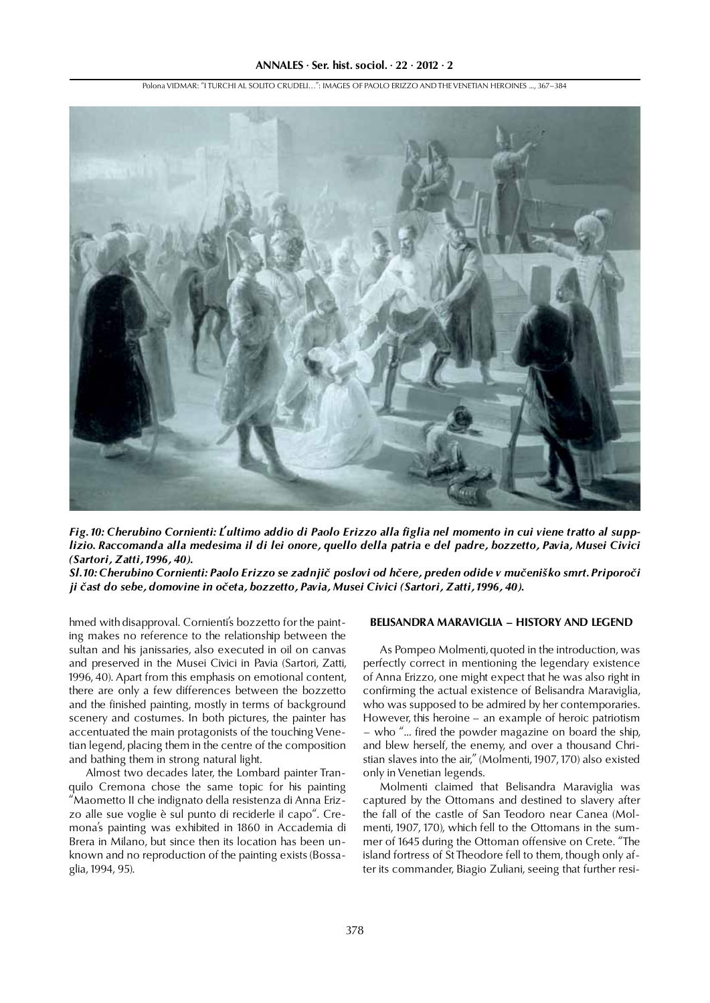

Polona VIDMAR: "I TURCHI AL SOLITO CRUDELI…": IMAGES OF PAOLO ERIZZO AND THE VENETIAN HEROINES ..., 367–384

*Fig. 10: Cherubino Cornienti: L'ultimo addio di Paolo Erizzo alla figlia nel momento in cui viene tratto al supplizio. Raccomanda alla medesima il di lei onore, quello della patria e del padre, bozzetto, Pavia, Musei Civici (Sartori, Zatti, 1996, 40).*

*Sl. 10: Cherubino Cornienti: Paolo Erizzo se zadnjič poslovi od hčere, preden odide v mučeniško smrt. Priporoči ji čast do sebe, domovine in očeta, bozzetto, Pavia, Musei Civici (Sartori, Zatti, 1996, 40).*

hmed with disapproval. Cornienti's bozzetto for the painting makes no reference to the relationship between the sultan and his janissaries, also executed in oil on canvas and preserved in the Musei Civici in Pavia (Sartori, Zatti, 1996, 40). Apart from this emphasis on emotional content, there are only a few differences between the bozzetto and the finished painting, mostly in terms of background scenery and costumes. In both pictures, the painter has accentuated the main protagonists of the touching Venetian legend, placing them in the centre of the composition and bathing them in strong natural light.

Almost two decades later, the Lombard painter Tranquilo Cremona chose the same topic for his painting "Maometto II che indignato della resistenza di Anna Erizzo alle sue voglie è sul punto di reciderle il capo". Cremona's painting was exhibited in 1860 in Accademia di Brera in Milano, but since then its location has been unknown and no reproduction of the painting exists (Bossaglia, 1994, 95).

# **BELISANDRA MARAVIGLIA – HISTORY AND LEGEND**

As Pompeo Molmenti, quoted in the introduction, was perfectly correct in mentioning the legendary existence of Anna Erizzo, one might expect that he was also right in confirming the actual existence of Belisandra Maraviglia, who was supposed to be admired by her contemporaries. However, this heroine – an example of heroic patriotism – who "... fired the powder magazine on board the ship, and blew herself, the enemy, and over a thousand Christian slaves into the air," (Molmenti, 1907, 170) also existed only in Venetian legends.

Molmenti claimed that Belisandra Maraviglia was captured by the Ottomans and destined to slavery after the fall of the castle of San Teodoro near Canea (Molmenti, 1907, 170), which fell to the Ottomans in the summer of 1645 during the Ottoman offensive on Crete. "The island fortress of St Theodore fell to them, though only after its commander, Biagio Zuliani, seeing that further resi-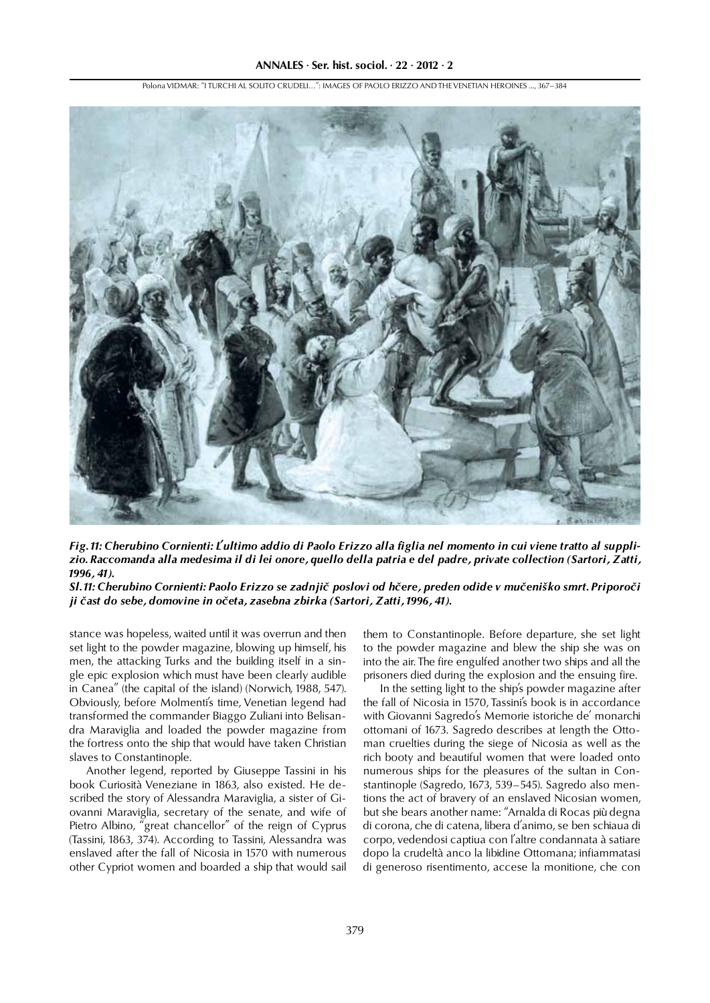Polona VIDMAR: "I TURCHI AL SOLITO CRUDELI…": IMAGES OF PAOLO ERIZZO AND THE VENETIAN HEROINES ..., 367–384



*Fig. 11: Cherubino Cornienti: L'ultimo addio di Paolo Erizzo alla figlia nel momento in cui viene tratto al supplizio. Raccomanda alla medesima il di lei onore, quello della patria e del padre, private collection (Sartori, Zatti, 1996, 41).*

*Sl. 11: Cherubino Cornienti: Paolo Erizzo se zadnjič poslovi od hčere, preden odide v mučeniško smrt. Priporoči ji čast do sebe, domovine in očeta, zasebna zbirka (Sartori, Zatti, 1996, 41).*

stance was hopeless, waited until it was overrun and then set light to the powder magazine, blowing up himself, his men, the attacking Turks and the building itself in a single epic explosion which must have been clearly audible in Canea" (the capital of the island) (Norwich, 1988, 547). Obviously, before Molmenti's time, Venetian legend had transformed the commander Biaggo Zuliani into Belisandra Maraviglia and loaded the powder magazine from the fortress onto the ship that would have taken Christian slaves to Constantinople.

Another legend, reported by Giuseppe Tassini in his book Curiosità Veneziane in 1863, also existed. He described the story of Alessandra Maraviglia, a sister of Giovanni Maraviglia, secretary of the senate, and wife of Pietro Albino, "great chancellor" of the reign of Cyprus (Tassini, 1863, 374). According to Tassini, Alessandra was enslaved after the fall of Nicosia in 1570 with numerous other Cypriot women and boarded a ship that would sail them to Constantinople. Before departure, she set light to the powder magazine and blew the ship she was on into the air. The fire engulfed another two ships and all the prisoners died during the explosion and the ensuing fire.

In the setting light to the ship's powder magazine after the fall of Nicosia in 1570, Tassini's book is in accordance with Giovanni Sagredo's Memorie istoriche de' monarchi ottomani of 1673. Sagredo describes at length the Ottoman cruelties during the siege of Nicosia as well as the rich booty and beautiful women that were loaded onto numerous ships for the pleasures of the sultan in Constantinople (Sagredo, 1673, 539–545). Sagredo also mentions the act of bravery of an enslaved Nicosian women, but she bears another name: "Arnalda di Rocas più degna di corona, che di catena, libera d'animo, se ben schiaua di corpo, vedendosi captiua con l'altre condannata à satiare dopo la crudeltà anco la libidine Ottomana; infiammatasi di generoso risentimento, accese la monitione, che con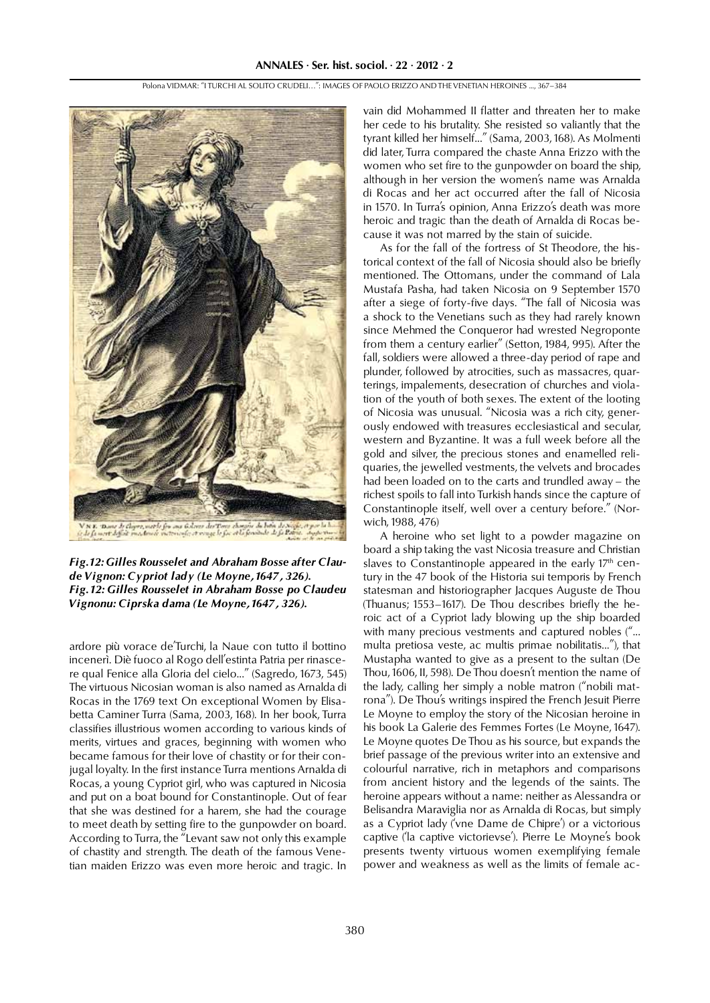

*Fig. 12: Gilles Rousselet and Abraham Bosse after Claude Vignon: Cypriot lady (Le Moyne, 1647, 326). Fig. 12: Gilles Rousselet in Abraham Bosse po Claudeu Vignonu: Ciprska dama (Le Moyne, 1647, 326).*

ardore più vorace de'Turchi, la Naue con tutto il bottino incenerì. Diè fuoco al Rogo dell'estinta Patria per rinascere qual Fenice alla Gloria del cielo..." (Sagredo, 1673, 545) The virtuous Nicosian woman is also named as Arnalda di Rocas in the 1769 text On exceptional Women by Elisabetta Caminer Turra (Sama, 2003, 168). In her book, Turra classifies illustrious women according to various kinds of merits, virtues and graces, beginning with women who became famous for their love of chastity or for their conjugal loyalty. In the first instance Turra mentions Arnalda di Rocas, a young Cypriot girl, who was captured in Nicosia and put on a boat bound for Constantinople. Out of fear that she was destined for a harem, she had the courage to meet death by setting fire to the gunpowder on board. According to Turra, the "Levant saw not only this example of chastity and strength. The death of the famous Venetian maiden Erizzo was even more heroic and tragic. In

vain did Mohammed II flatter and threaten her to make her cede to his brutality. She resisted so valiantly that the tyrant killed her himself..." (Sama, 2003, 168). As Molmenti did later, Turra compared the chaste Anna Erizzo with the women who set fire to the gunpowder on board the ship, although in her version the women's name was Arnalda di Rocas and her act occurred after the fall of Nicosia in 1570. In Turra's opinion, Anna Erizzo's death was more heroic and tragic than the death of Arnalda di Rocas because it was not marred by the stain of suicide.

As for the fall of the fortress of St Theodore, the historical context of the fall of Nicosia should also be briefly mentioned. The Ottomans, under the command of Lala Mustafa Pasha, had taken Nicosia on 9 September 1570 after a siege of forty-five days. "The fall of Nicosia was a shock to the Venetians such as they had rarely known since Mehmed the Conqueror had wrested Negroponte from them a century earlier" (Setton, 1984, 995). After the fall, soldiers were allowed a three-day period of rape and plunder, followed by atrocities, such as massacres, quarterings, impalements, desecration of churches and violation of the youth of both sexes. The extent of the looting of Nicosia was unusual. "Nicosia was a rich city, generously endowed with treasures ecclesiastical and secular, western and Byzantine. It was a full week before all the gold and silver, the precious stones and enamelled reliquaries, the jewelled vestments, the velvets and brocades had been loaded on to the carts and trundled away – the richest spoils to fall into Turkish hands since the capture of Constantinople itself, well over a century before." (Norwich, 1988, 476)

A heroine who set light to a powder magazine on board a ship taking the vast Nicosia treasure and Christian slaves to Constantinople appeared in the early  $17<sup>th</sup>$  century in the 47 book of the Historia sui temporis by French statesman and historiographer Jacques Auguste de Thou (Thuanus; 1553–1617). De Thou describes briefly the heroic act of a Cypriot lady blowing up the ship boarded with many precious vestments and captured nobles ("... multa pretiosa veste, ac multis primae nobilitatis..."), that Mustapha wanted to give as a present to the sultan (De Thou, 1606, II, 598). De Thou doesn't mention the name of the lady, calling her simply a noble matron ("nobili matrona"). De Thou's writings inspired the French Jesuit Pierre Le Moyne to employ the story of the Nicosian heroine in his book La Galerie des Femmes Fortes (Le Moyne, 1647). Le Moyne quotes De Thou as his source, but expands the brief passage of the previous writer into an extensive and colourful narrative, rich in metaphors and comparisons from ancient history and the legends of the saints. The heroine appears without a name: neither as Alessandra or Belisandra Maraviglia nor as Arnalda di Rocas, but simply as a Cypriot lady ('vne Dame de Chipre') or a victorious captive ('la captive victorievse'). Pierre Le Moyne's book presents twenty virtuous women exemplifying female power and weakness as well as the limits of female ac-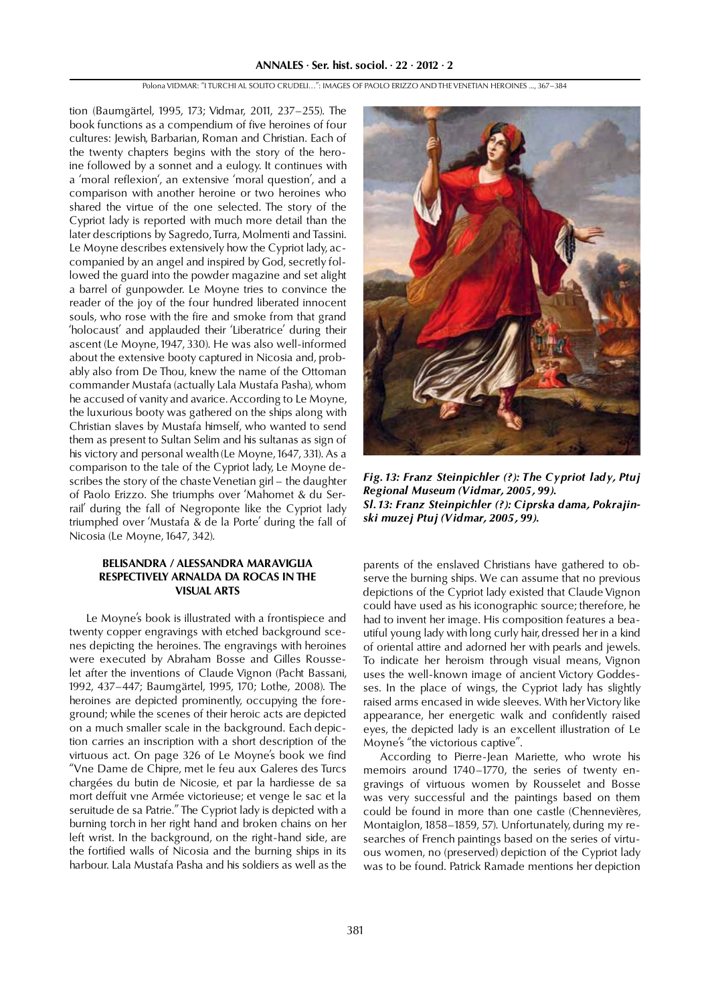tion (Baumgärtel, 1995, 173; Vidmar, 2011, 237–255). The book functions as a compendium of five heroines of four cultures: Jewish, Barbarian, Roman and Christian. Each of the twenty chapters begins with the story of the heroine followed by a sonnet and a eulogy. It continues with a 'moral reflexion', an extensive 'moral question', and a comparison with another heroine or two heroines who shared the virtue of the one selected. The story of the Cypriot lady is reported with much more detail than the later descriptions by Sagredo, Turra, Molmenti and Tassini. Le Moyne describes extensively how the Cypriot lady, accompanied by an angel and inspired by God, secretly followed the guard into the powder magazine and set alight a barrel of gunpowder. Le Moyne tries to convince the reader of the joy of the four hundred liberated innocent souls, who rose with the fire and smoke from that grand 'holocaust' and applauded their 'Liberatrice' during their ascent (Le Moyne, 1947, 330). He was also well-informed about the extensive booty captured in Nicosia and, probably also from De Thou, knew the name of the Ottoman commander Mustafa (actually Lala Mustafa Pasha), whom he accused of vanity and avarice. According to Le Moyne, the luxurious booty was gathered on the ships along with Christian slaves by Mustafa himself, who wanted to send them as present to Sultan Selim and his sultanas as sign of his victory and personal wealth (Le Moyne, 1647, 331). As a comparison to the tale of the Cypriot lady, Le Moyne describes the story of the chaste Venetian girl – the daughter of Paolo Erizzo. She triumphs over 'Mahomet & du Serrail' during the fall of Negroponte like the Cypriot lady triumphed over 'Mustafa & de la Porte' during the fall of Nicosia (Le Moyne, 1647, 342).

## **BELISANDRA / ALESSANDRA MARAVIGLIA RESPECTIVELY ARE SERVED AT ROCK STATISTIC STATISTIC STATISTIC STATISTIC STATISTIC STATISTIC STATISTIC STATISTIC VISUAL ARTS**

Le Moyne's book is illustrated with a frontispiece and twenty copper engravings with etched background scenes depicting the heroines. The engravings with heroines were executed by Abraham Bosse and Gilles Rousselet after the inventions of Claude Vignon (Pacht Bassani, 1992, 437–447; Baumgärtel, 1995, 170; Lothe, 2008). The heroines are depicted prominently, occupying the foreground; while the scenes of their heroic acts are depicted on a much smaller scale in the background. Each depiction carries an inscription with a short description of the virtuous act. On page 326 of Le Moyne's book we find "Vne Dame de Chipre, met le feu aux Galeres des Turcs chargées du butin de Nicosie, et par la hardiesse de sa mort deffuit vne Armée victorieuse; et venge le sac et la seruitude de sa Patrie." The Cypriot lady is depicted with a burning torch in her right hand and broken chains on her left wrist. In the background, on the right-hand side, are the fortified walls of Nicosia and the burning ships in its harbour. Lala Mustafa Pasha and his soldiers as well as the



*Fig. 13: Franz Steinpichler (?): The Cypriot lady, Ptuj Regional Museum (Vidmar, 2005, 99). Sl. 13: Franz Steinpichler (?): Ciprska dama, Pokrajinski muzej Ptuj (Vidmar, 2005, 99).*

parents of the enslaved Christians have gathered to observe the burning ships. We can assume that no previous depictions of the Cypriot lady existed that Claude Vignon could have used as his iconographic source; therefore, he had to invent her image. His composition features a beautiful young lady with long curly hair, dressed her in a kind of oriental attire and adorned her with pearls and jewels. To indicate her heroism through visual means, Vignon uses the well-known image of ancient Victory Goddesses. In the place of wings, the Cypriot lady has slightly raised arms encased in wide sleeves. With her Victory like appearance, her energetic walk and confidently raised eyes, the depicted lady is an excellent illustration of Le Moyne's "the victorious captive".

According to Pierre-Jean Mariette, who wrote his memoirs around 1740–1770, the series of twenty engravings of virtuous women by Rousselet and Bosse was very successful and the paintings based on them could be found in more than one castle (Chennevières, Montaiglon, 1858–1859, 57). Unfortunately, during my researches of French paintings based on the series of virtuous women, no (preserved) depiction of the Cypriot lady was to be found. Patrick Ramade mentions her depiction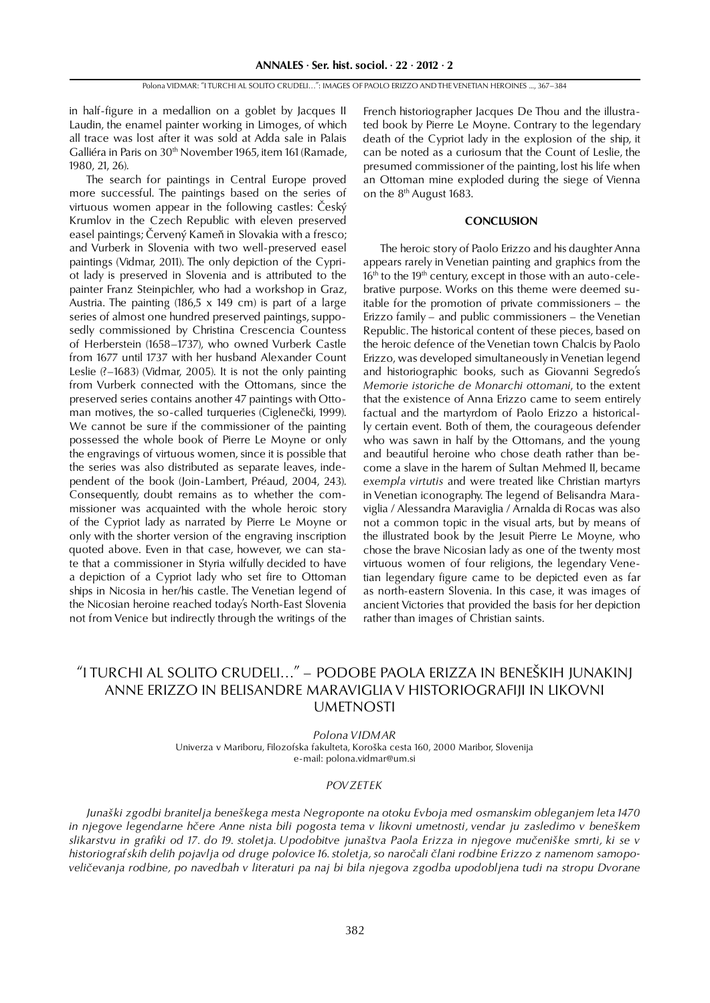in half-figure in a medallion on a goblet by Jacques II Laudin, the enamel painter working in Limoges, of which all trace was lost after it was sold at Adda sale in Palais Galliéra in Paris on 30<sup>th</sup> November 1965, item 161 (Ramade, 1980, 21, 26).

The search for paintings in Central Europe proved more successful. The paintings based on the series of virtuous women appear in the following castles: Český Krumlov in the Czech Republic with eleven preserved easel paintings; Červený Kameň in Slovakia with a fresco; and Vurberk in Slovenia with two well-preserved easel paintings (Vidmar, 2011). The only depiction of the Cypriot lady is preserved in Slovenia and is attributed to the painter Franz Steinpichler, who had a workshop in Graz, Austria. The painting  $(186.5 \times 149 \text{ cm})$  is part of a large series of almost one hundred preserved paintings, supposedly commissioned by Christina Crescencia Countess of Herberstein (1658–1737), who owned Vurberk Castle from 1677 until 1737 with her husband Alexander Count Leslie  $(2-1683)$  (Vidmar, 2005). It is not the only painting from Vurberk connected with the Ottomans, since the preserved series contains another 47 paintings with Ottoman motives, the so-called turqueries (Ciglenečki, 1999). We cannot be sure if the commissioner of the painting possessed the whole book of Pierre Le Moyne or only the engravings of virtuous women, since it is possible that the series was also distributed as separate leaves, independent of the book (Join-Lambert, Préaud, 2004, 243). Consequently, doubt remains as to whether the commissioner was acquainted with the whole heroic story of the Cypriot lady as narrated by Pierre Le Moyne or only with the shorter version of the engraving inscription quoted above. Even in that case, however, we can state that a commissioner in Styria wilfully decided to have a depiction of a Cypriot lady who set fire to Ottoman ships in Nicosia in her/his castle. The Venetian legend of the Nicosian heroine reached today's North-East Slovenia not from Venice but indirectly through the writings of the

French historiographer Jacques De Thou and the illustrated book by Pierre Le Moyne. Contrary to the legendary death of the Cypriot lady in the explosion of the ship, it can be noted as a curiosum that the Count of Leslie, the presumed commissioner of the painting, lost his life when an Ottoman mine exploded during the siege of Vienna on the 8th August 1683.

# **CONCLUSION**

The heroic story of Paolo Erizzo and his daughter Anna appears rarely in Venetian painting and graphics from the  $16<sup>th</sup>$  to the 19<sup>th</sup> century, except in those with an auto-celebrative purpose. Works on this theme were deemed suitable for the promotion of private commissioners – the Erizzo family – and public commissioners – the Venetian Republic. The historical content of these pieces, based on the heroic defence of the Venetian town Chalcis by Paolo Erizzo, was developed simultaneously in Venetian legend and historiographic books, such as Giovanni Segredo's *Memorie istoriche de Monarchi ottomani*, to the extent that the existence of Anna Erizzo came to seem entirely factual and the martyrdom of Paolo Erizzo a historically certain event. Both of them, the courageous defender who was sawn in half by the Ottomans, and the young and beautiful heroine who chose death rather than become a slave in the harem of Sultan Mehmed II, became *exempla virtutis* and were treated like Christian martyrs in Venetian iconography. The legend of Belisandra Maraviglia / Alessandra Maraviglia / Arnalda di Rocas was also not a common topic in the visual arts, but by means of the illustrated book by the Jesuit Pierre Le Moyne, who chose the brave Nicosian lady as one of the twenty most virtuous women of four religions, the legendary Venetian legendary figure came to be depicted even as far as north-eastern Slovenia. In this case, it was images of ancient Victories that provided the basis for her depiction rather than images of Christian saints.

## "I TURCHI AL SOLITO CRUDELI…" – PODOBE PAOLA ERIZZA IN BENEŠKIH JUNAKINJ ANNE ERIZZO IN BELISANDRE MARAVIGLIA V HISTORIOGRAFIJI IN LIKOVNI UMETNOSTI

*Polona VIDMAR*

Univerza v Mariboru, Filozofska fakulteta, Koroška cesta 160, 2000 Maribor, Slovenija e-mail: polona.vidmar@um.si

### *POVZETEK*

*Junaški zgodbi branitelja beneškega mesta Negroponte na otoku Evboja med osmanskim obleganjem leta 1470 in njegove legendarne hčere Anne nista bili pogosta tema v likovni umetnosti, vendar ju zasledimo v beneškem slikarstvu in grafiki od 17. do 19. stoletja. Upodobitve junaštva Paola Erizza in njegove mučeniške smrti, ki se v historiografskih delih pojavlja od druge polovice 16. stoletja, so naročali člani rodbine Erizzo z namenom samopoveličevanja rodbine, po navedbah v literaturi pa naj bi bila njegova zgodba upodobljena tudi na stropu Dvorane*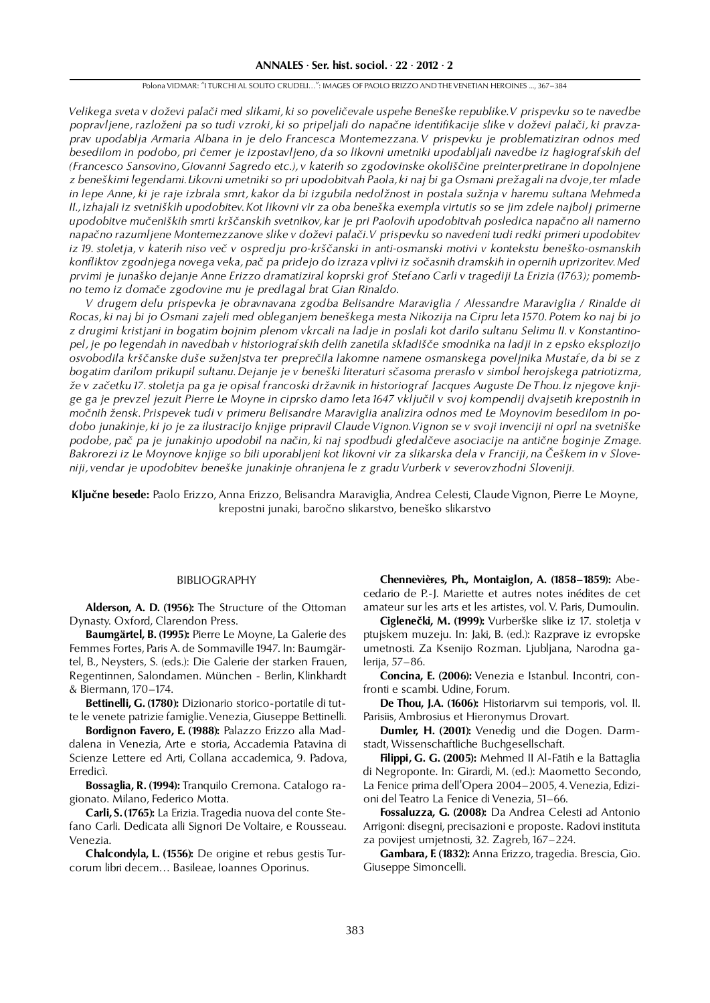*Velikega sveta v doževi palači med slikami, ki so poveličevale uspehe Beneške republike. V prispevku so te navedbe popravljene, razloženi pa so tudi vzroki, ki so pripeljali do napačne identifikacije slike v doževi palači, ki pravzaprav upodablja Armaria Albana in je delo Francesca Montemezzana. V prispevku je problematiziran odnos med besedilom in podobo, pri čemer je izpostavljeno, da so likovni umetniki upodabljali navedbe iz hagiografskih del (Francesco Sansovino, Giovanni Sagredo etc.), v katerih so zgodovinske okoliščine preinterpretirane in dopolnjene z beneškimi legendami. Likovni umetniki so pri upodobitvah Paola, ki naj bi ga Osmani prežagali na dvoje, ter mlade in lepe Anne, ki je raje izbrala smrt, kakor da bi izgubila nedolžnost in postala sužnja v haremu sultana Mehmeda II., izhajali iz svetniških upodobitev. Kot likovni vir za oba beneška exempla virtutis so se jim zdele najbolj primerne upodobitve mučeniških smrti krščanskih svetnikov, kar je pri Paolovih upodobitvah posledica napačno ali namerno napačno razumljene Montemezzanove slike v doževi palači. V prispevku so navedeni tudi redki primeri upodobitev iz 19. stoletja, v katerih niso več v ospredju pro-krščanski in anti-osmanski motivi v kontekstu beneško-osmanskih konfliktov zgodnjega novega veka, pač pa pridejo do izraza vplivi iz sočasnih dramskih in opernih uprizoritev. Med prvimi je junaško dejanje Anne Erizzo dramatiziral koprski grof Stefano Carli v tragediji La Erizia (1763); pomembno temo iz domače zgodovine mu je predlagal brat Gian Rinaldo.* 

*V drugem delu prispevka je obravnavana zgodba Belisandre Maraviglia / Alessandre Maraviglia / Rinalde di Rocas, ki naj bi jo Osmani zajeli med obleganjem beneškega mesta Nikozija na Cipru leta 1570. Potem ko naj bi jo z drugimi kristjani in bogatim bojnim plenom vkrcali na ladje in poslali kot darilo sultanu Selimu II. v Konstantinopel, je po legendah in navedbah v historiografskih delih zanetila skladišče smodnika na ladji in z epsko eksplozijo osvobodila krščanske duše suženjstva ter preprečila lakomne namene osmanskega poveljnika Mustafe, da bi se z bogatim darilom prikupil sultanu. Dejanje je v beneški literaturi sčasoma preraslo v simbol herojskega patriotizma, že v začetku 17. stoletja pa ga je opisal francoski državnik in historiograf Jacques Auguste De Thou. Iz njegove knjige ga je prevzel jezuit Pierre Le Moyne in ciprsko damo leta 1647 vključil v svoj kompendij dvajsetih krepostnih in močnih žensk. Prispevek tudi v primeru Belisandre Maraviglia analizira odnos med Le Moynovim besedilom in podobo junakinje, ki jo je za ilustracijo knjige pripravil Claude Vignon. Vignon se v svoji invenciji ni oprl na svetniške podobe, pač pa je junakinjo upodobil na način, ki naj spodbudi gledalčeve asociacije na antične boginje Zmage. Bakrorezi iz Le Moynove knjige so bili uporabljeni kot likovni vir za slikarska dela v Franciji, na Češkem in v Sloveniji, vendar je upodobitev beneške junakinje ohranjena le z gradu Vurberk v severovzhodni Sloveniji.*

**Ključne besede:** Paolo Erizzo, Anna Erizzo, Belisandra Maraviglia, Andrea Celesti, Claude Vignon, Pierre Le Moyne, krepostni junaki, baročno slikarstvo, beneško slikarstvo

#### BIBLIOGRAPHY

**Alderson, A. D. (1956):** The Structure of the Ottoman Dynasty. Oxford, Clarendon Press.

**Baumgärtel, B. (1995):** Pierre Le Moyne, La Galerie des Femmes Fortes, Paris A. de Sommaville 1947. In: Baumgärtel, B., Neysters, S. (eds.): Die Galerie der starken Frauen, Regentinnen, Salondamen. München - Berlin, Klinkhardt & Biermann, 170–174.

**Bettinelli, G. (1780):** Dizionario storico-portatile di tutte le venete patrizie famiglie. Venezia, Giuseppe Bettinelli.

**Bordignon Favero, E. (1988):** Palazzo Erizzo alla Maddalena in Venezia, Arte e storia, Accademia Patavina di Scienze Lettere ed Arti, Collana accademica, 9. Padova, Erredicì.

**Bossaglia, R. (1994):** Tranquilo Cremona. Catalogo ragionato. Milano, Federico Motta.

**Carli, S. (1765):** La Erizia. Tragedia nuova del conte Stefano Carli. Dedicata alli Signori De Voltaire, e Rousseau. Venezia.

**Chalcondyla, L. (1556):** De origine et rebus gestis Turcorum libri decem… Basileae, Ioannes Oporinus.

**Chennevières, Ph., Montaiglon, A. (1858–1859):** Abecedario de P.-J. Mariette et autres notes inédites de cet amateur sur les arts et les artistes, vol. V. Paris, Dumoulin.

**Ciglenečki, M. (1999):** Vurberške slike iz 17. stoletja v ptujskem muzeju. In: Jaki, B. (ed.): Razprave iz evropske umetnosti. Za Ksenijo Rozman. Ljubljana, Narodna galerija, 57–86.

**Concina, E. (2006):** Venezia e Istanbul. Incontri, confronti e scambi. Udine, Forum.

**De Thou, J.A. (1606):** Historiarvm sui temporis, vol. II. Parisiis, Ambrosius et Hieronymus Drovart.

**Dumler, H. (2001):** Venedig und die Dogen. Darmstadt, Wissenschaftliche Buchgesellschaft.

**Filippi, G. G. (2005):** Mehmed II Al-Fātih e la Battaglia di Negroponte. In: Girardi, M. (ed.): Maometto Secondo, La Fenice prima dell'Opera 2004–2005, 4. Venezia, Edizioni del Teatro La Fenice di Venezia, 51–66.

**Fossaluzza, G. (2008):** Da Andrea Celesti ad Antonio Arrigoni: disegni, precisazioni e proposte. Radovi instituta za povijest umjetnosti, 32. Zagreb, 167–224.

**Gambara, F. (1832):** Anna Erizzo, tragedia. Brescia, Gio. Giuseppe Simoncelli.